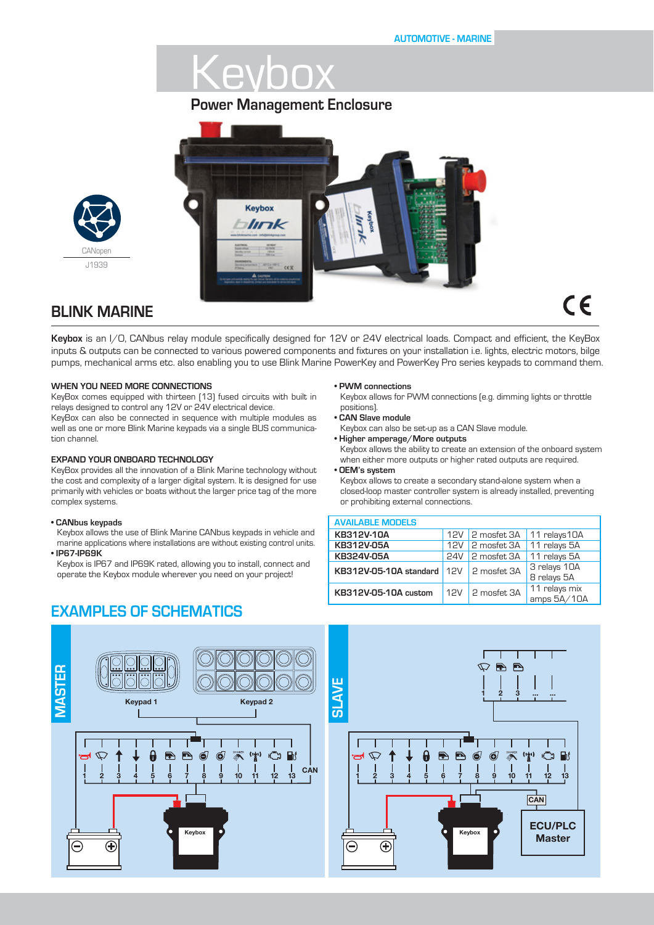

# **BLINK MARINE**

CANopen J1939

**Keybox** is an I/O, CANbus relay module specifically designed for 12V or 24V electrical loads. Compact and efficient, the KeyBox inputs & outputs can be connected to various powered components and fixtures on your installation i.e. lights, electric motors, bilge pumps, mechanical arms etc. also enabling you to use Blink Marine PowerKey and PowerKey Pro series keypads to command them.

### **WHEN YOU NEED MORE CONNECTIONS**

KeyBox comes equipped with thirteen (13) fused circuits with built in relays designed to control any 12V or 24V electrical device.

KeyBox can also be connected in sequence with multiple modules as well as one or more Blink Marine keypads via a single BUS communication channel.

### **EXPAND YOUR ONBOARD TECHNOLOGY**

KeyBox provides all the innovation of a Blink Marine technology without the cost and complexity of a larger digital system. It is designed for use primarily with vehicles or boats without the larger price tag of the more complex systems.

#### **• CANbus keypads**

 Keybox allows the use of Blink Marine CANbus keypads in vehicle and marine applications where installations are without existing control units. **• IP67-IP69K**

 Keybox is IP67 and IP69K rated, allowing you to install, connect and operate the Keybox module wherever you need on your project!

# **EXAMPLES OF SCHEMATICS**

#### **• PWM connections**

 Keybox allows for PWM connections (e.g. dimming lights or throttle positions).

 $C<sub>1</sub>$ 

# **• CAN Slave module**

- Keybox can also be set-up as a CAN Slave module.
- **• Higher amperage/More outputs** Keybox allows the ability to create an extension of the onboard system when either more outputs or higher rated outputs are required.

**• OEM's system**

 Keybox allows to create a secondary stand-alone system when a closed-loop master controller system is already installed, preventing or prohibiting external connections.

# **AVAILABLE MODELS**

| <b>KB312V-10A</b>           |     | $12V$ 2 mosfet 3A     | 11 relays10A                 |
|-----------------------------|-----|-----------------------|------------------------------|
| KB312V-05A                  |     | $12V$   2 mosfet $3A$ | 11 relays 5A                 |
| KB324V-05A                  |     | $24V$ 2 mosfet 3A     | 11 relays 5A                 |
| KB312V-05-10A standard 12V  |     | $\vert$ 2 mosfet 3A   | 3 relays 10A<br>8 relays 5A  |
| <b>KB312V-05-10A custom</b> | 12V | 2 mosfet 3A           | 11 relays mix<br>amps 5A/10A |